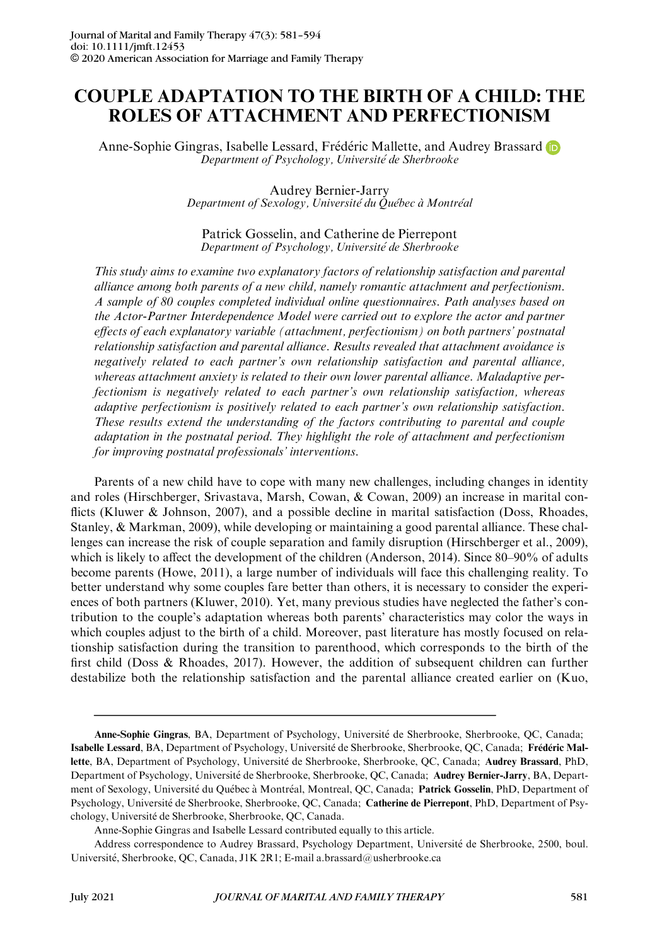# COUPLE ADAPTATION TO THE BIRTH OF A CHILD: THE ROLES OF ATTACHMENT AND PERFECTIONISM

Anne-Sophie Gingras, Isabelle Lessar[d](https://orcid.org/0000-0002-2292-1519), Frédéric Mallette, and Audrey Brassard Department of Psychology, Université de Sherbrooke

> Audrey Bernier-Jarry Department of Sexology, Université du Québec à Montréal

Patrick Gosselin, and Catherine de Pierrepont Department of Psychology, Université de Sherbrooke

This study aims to examine two explanatory factors of relationship satisfaction and parental alliance among both parents of a new child, namely romantic attachment and perfectionism. A sample of 80 couples completed individual online questionnaires. Path analyses based on the Actor-Partner Interdependence Model were carried out to explore the actor and partner effects of each explanatory variable (attachment, perfectionism) on both partners' postnatal relationship satisfaction and parental alliance. Results revealed that attachment avoidance is negatively related to each partner's own relationship satisfaction and parental alliance, whereas attachment anxiety is related to their own lower parental alliance. Maladaptive perfectionism is negatively related to each partner's own relationship satisfaction, whereas adaptive perfectionism is positively related to each partner's own relationship satisfaction. These results extend the understanding of the factors contributing to parental and couple adaptation in the postnatal period. They highlight the role of attachment and perfectionism for improving postnatal professionals' interventions.

Parents of a new child have to cope with many new challenges, including changes in identity and roles (Hirschberger, Srivastava, Marsh, Cowan, & Cowan, 2009) an increase in marital conflicts (Kluwer & Johnson, 2007), and a possible decline in marital satisfaction (Doss, Rhoades, Stanley, & Markman, 2009), while developing or maintaining a good parental alliance. These challenges can increase the risk of couple separation and family disruption (Hirschberger et al., 2009), which is likely to affect the development of the children (Anderson, 2014). Since 80–90% of adults become parents (Howe, 2011), a large number of individuals will face this challenging reality. To better understand why some couples fare better than others, it is necessary to consider the experiences of both partners (Kluwer, 2010). Yet, many previous studies have neglected the father's contribution to the couple's adaptation whereas both parents' characteristics may color the ways in which couples adjust to the birth of a child. Moreover, past literature has mostly focused on relationship satisfaction during the transition to parenthood, which corresponds to the birth of the first child (Doss & Rhoades, 2017). However, the addition of subsequent children can further destabilize both the relationship satisfaction and the parental alliance created earlier on (Kuo,

Anne-Sophie Gingras, BA, Department of Psychology, Universite de Sherbrooke, Sherbrooke, QC, Canada; Isabelle Lessard, BA, Department of Psychology, Universite de Sherbrooke, Sherbrooke, QC, Canada; Frederic Mallette, BA, Department of Psychology, Université de Sherbrooke, Sherbrooke, QC, Canada; Audrey Brassard, PhD, Department of Psychology, Université de Sherbrooke, Sherbrooke, QC, Canada; Audrey Bernier-Jarry, BA, Department of Sexology, Université du Québec à Montréal, Montreal, QC, Canada; Patrick Gosselin, PhD, Department of Psychology, Université de Sherbrooke, Sherbrooke, QC, Canada; Catherine de Pierrepont, PhD, Department of Psychology, Universite de Sherbrooke, Sherbrooke, QC, Canada.

Anne-Sophie Gingras and Isabelle Lessard contributed equally to this article.

Address correspondence to Audrey Brassard, Psychology Department, Universite de Sherbrooke, 2500, boul. Universite, Sherbrooke, QC, Canada, J1K 2R1; E-mail [a.brassard@usherbrooke.ca](mailto:)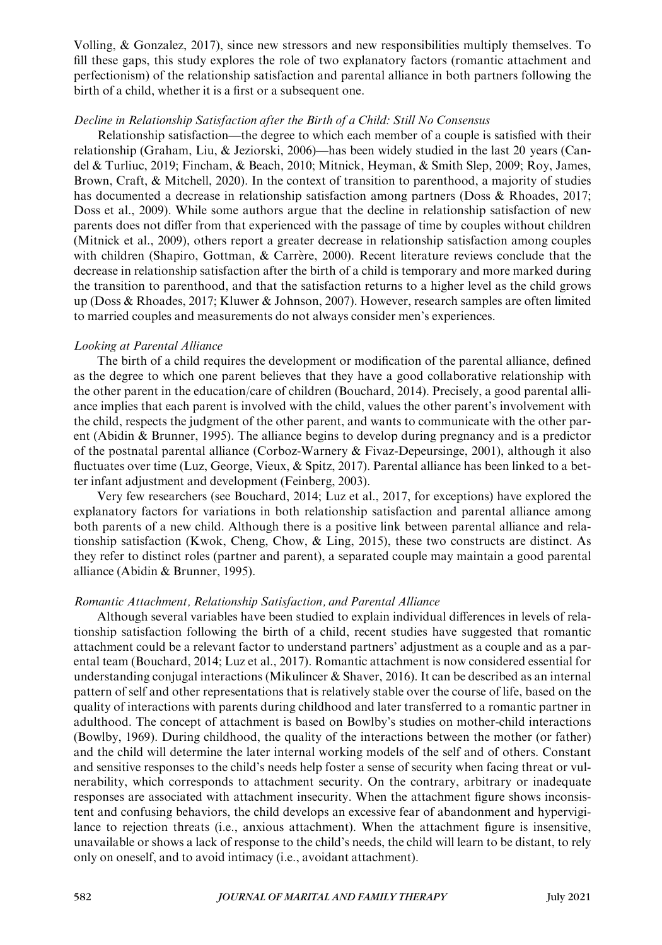Volling, & Gonzalez, 2017), since new stressors and new responsibilities multiply themselves. To fill these gaps, this study explores the role of two explanatory factors (romantic attachment and perfectionism) of the relationship satisfaction and parental alliance in both partners following the birth of a child, whether it is a first or a subsequent one.

# Decline in Relationship Satisfaction after the Birth of a Child: Still No Consensus

Relationship satisfaction—the degree to which each member of a couple is satisfied with their relationship (Graham, Liu, & Jeziorski, 2006)—has been widely studied in the last 20 years (Candel & Turliuc, 2019; Fincham, & Beach, 2010; Mitnick, Heyman, & Smith Slep, 2009; Roy, James, Brown, Craft, & Mitchell, 2020). In the context of transition to parenthood, a majority of studies has documented a decrease in relationship satisfaction among partners (Doss & Rhoades, 2017; Doss et al., 2009). While some authors argue that the decline in relationship satisfaction of new parents does not differ from that experienced with the passage of time by couples without children (Mitnick et al., 2009), others report a greater decrease in relationship satisfaction among couples with children (Shapiro, Gottman, & Carrere, 2000). Recent literature reviews conclude that the decrease in relationship satisfaction after the birth of a child is temporary and more marked during the transition to parenthood, and that the satisfaction returns to a higher level as the child grows up (Doss & Rhoades, 2017; Kluwer & Johnson, 2007). However, research samples are often limited to married couples and measurements do not always consider men's experiences.

# Looking at Parental Alliance

The birth of a child requires the development or modification of the parental alliance, defined as the degree to which one parent believes that they have a good collaborative relationship with the other parent in the education/care of children (Bouchard, 2014). Precisely, a good parental alliance implies that each parent is involved with the child, values the other parent's involvement with the child, respects the judgment of the other parent, and wants to communicate with the other parent (Abidin & Brunner, 1995). The alliance begins to develop during pregnancy and is a predictor of the postnatal parental alliance (Corboz-Warnery & Fivaz-Depeursinge, 2001), although it also fluctuates over time (Luz, George, Vieux, & Spitz, 2017). Parental alliance has been linked to a better infant adjustment and development (Feinberg, 2003).

Very few researchers (see Bouchard, 2014; Luz et al., 2017, for exceptions) have explored the explanatory factors for variations in both relationship satisfaction and parental alliance among both parents of a new child. Although there is a positive link between parental alliance and relationship satisfaction (Kwok, Cheng, Chow, & Ling, 2015), these two constructs are distinct. As they refer to distinct roles (partner and parent), a separated couple may maintain a good parental alliance (Abidin & Brunner, 1995).

# Romantic Attachment, Relationship Satisfaction, and Parental Alliance

Although several variables have been studied to explain individual differences in levels of relationship satisfaction following the birth of a child, recent studies have suggested that romantic attachment could be a relevant factor to understand partners' adjustment as a couple and as a parental team (Bouchard, 2014; Luz et al., 2017). Romantic attachment is now considered essential for understanding conjugal interactions (Mikulincer & Shaver, 2016). It can be described as an internal pattern of self and other representations that is relatively stable over the course of life, based on the quality of interactions with parents during childhood and later transferred to a romantic partner in adulthood. The concept of attachment is based on Bowlby's studies on mother-child interactions (Bowlby, 1969). During childhood, the quality of the interactions between the mother (or father) and the child will determine the later internal working models of the self and of others. Constant and sensitive responses to the child's needs help foster a sense of security when facing threat or vulnerability, which corresponds to attachment security. On the contrary, arbitrary or inadequate responses are associated with attachment insecurity. When the attachment figure shows inconsistent and confusing behaviors, the child develops an excessive fear of abandonment and hypervigilance to rejection threats (i.e., anxious attachment). When the attachment figure is insensitive, unavailable or shows a lack of response to the child's needs, the child will learn to be distant, to rely only on oneself, and to avoid intimacy (i.e., avoidant attachment).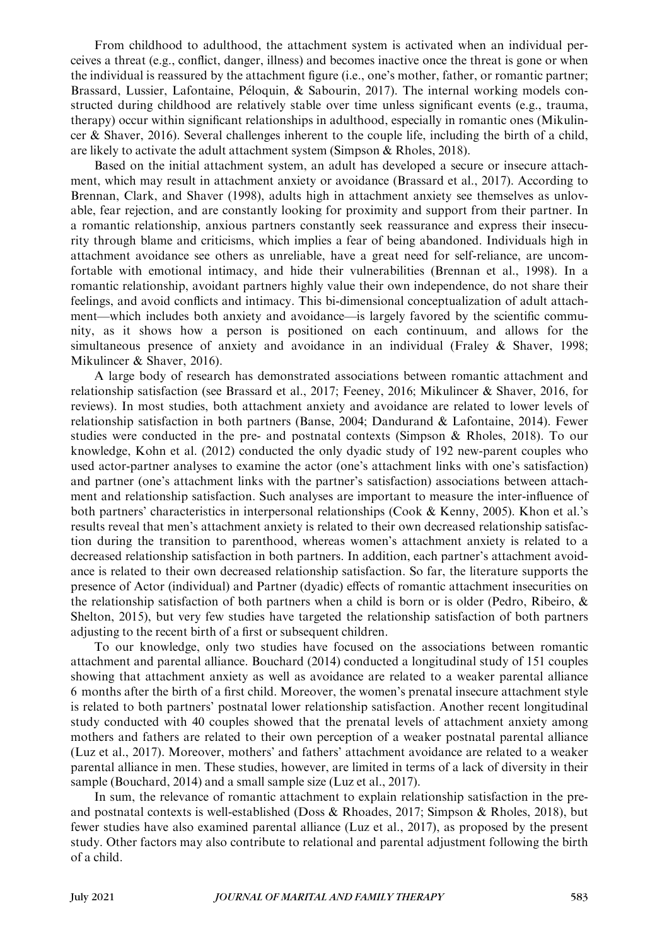From childhood to adulthood, the attachment system is activated when an individual perceives a threat (e.g., conflict, danger, illness) and becomes inactive once the threat is gone or when the individual is reassured by the attachment figure (i.e., one's mother, father, or romantic partner; Brassard, Lussier, Lafontaine, Peloquin, & Sabourin, 2017). The internal working models constructed during childhood are relatively stable over time unless significant events (e.g., trauma, therapy) occur within significant relationships in adulthood, especially in romantic ones (Mikulincer & Shaver, 2016). Several challenges inherent to the couple life, including the birth of a child, are likely to activate the adult attachment system (Simpson & Rholes, 2018).

Based on the initial attachment system, an adult has developed a secure or insecure attachment, which may result in attachment anxiety or avoidance (Brassard et al., 2017). According to Brennan, Clark, and Shaver (1998), adults high in attachment anxiety see themselves as unlovable, fear rejection, and are constantly looking for proximity and support from their partner. In a romantic relationship, anxious partners constantly seek reassurance and express their insecurity through blame and criticisms, which implies a fear of being abandoned. Individuals high in attachment avoidance see others as unreliable, have a great need for self-reliance, are uncomfortable with emotional intimacy, and hide their vulnerabilities (Brennan et al., 1998). In a romantic relationship, avoidant partners highly value their own independence, do not share their feelings, and avoid conflicts and intimacy. This bi-dimensional conceptualization of adult attachment—which includes both anxiety and avoidance—is largely favored by the scientific community, as it shows how a person is positioned on each continuum, and allows for the simultaneous presence of anxiety and avoidance in an individual (Fraley & Shaver, 1998; Mikulincer & Shaver, 2016).

A large body of research has demonstrated associations between romantic attachment and relationship satisfaction (see Brassard et al., 2017; Feeney, 2016; Mikulincer & Shaver, 2016, for reviews). In most studies, both attachment anxiety and avoidance are related to lower levels of relationship satisfaction in both partners (Banse, 2004; Dandurand & Lafontaine, 2014). Fewer studies were conducted in the pre- and postnatal contexts (Simpson & Rholes, 2018). To our knowledge, Kohn et al. (2012) conducted the only dyadic study of 192 new-parent couples who used actor-partner analyses to examine the actor (one's attachment links with one's satisfaction) and partner (one's attachment links with the partner's satisfaction) associations between attachment and relationship satisfaction. Such analyses are important to measure the inter-influence of both partners' characteristics in interpersonal relationships (Cook & Kenny, 2005). Khon et al.'s results reveal that men's attachment anxiety is related to their own decreased relationship satisfaction during the transition to parenthood, whereas women's attachment anxiety is related to a decreased relationship satisfaction in both partners. In addition, each partner's attachment avoidance is related to their own decreased relationship satisfaction. So far, the literature supports the presence of Actor (individual) and Partner (dyadic) effects of romantic attachment insecurities on the relationship satisfaction of both partners when a child is born or is older (Pedro, Ribeiro,  $\&$ Shelton, 2015), but very few studies have targeted the relationship satisfaction of both partners adjusting to the recent birth of a first or subsequent children.

To our knowledge, only two studies have focused on the associations between romantic attachment and parental alliance. Bouchard (2014) conducted a longitudinal study of 151 couples showing that attachment anxiety as well as avoidance are related to a weaker parental alliance 6 months after the birth of a first child. Moreover, the women's prenatal insecure attachment style is related to both partners' postnatal lower relationship satisfaction. Another recent longitudinal study conducted with 40 couples showed that the prenatal levels of attachment anxiety among mothers and fathers are related to their own perception of a weaker postnatal parental alliance (Luz et al., 2017). Moreover, mothers' and fathers' attachment avoidance are related to a weaker parental alliance in men. These studies, however, are limited in terms of a lack of diversity in their sample (Bouchard, 2014) and a small sample size (Luz et al., 2017).

In sum, the relevance of romantic attachment to explain relationship satisfaction in the preand postnatal contexts is well-established (Doss & Rhoades, 2017; Simpson & Rholes, 2018), but fewer studies have also examined parental alliance (Luz et al., 2017), as proposed by the present study. Other factors may also contribute to relational and parental adjustment following the birth of a child.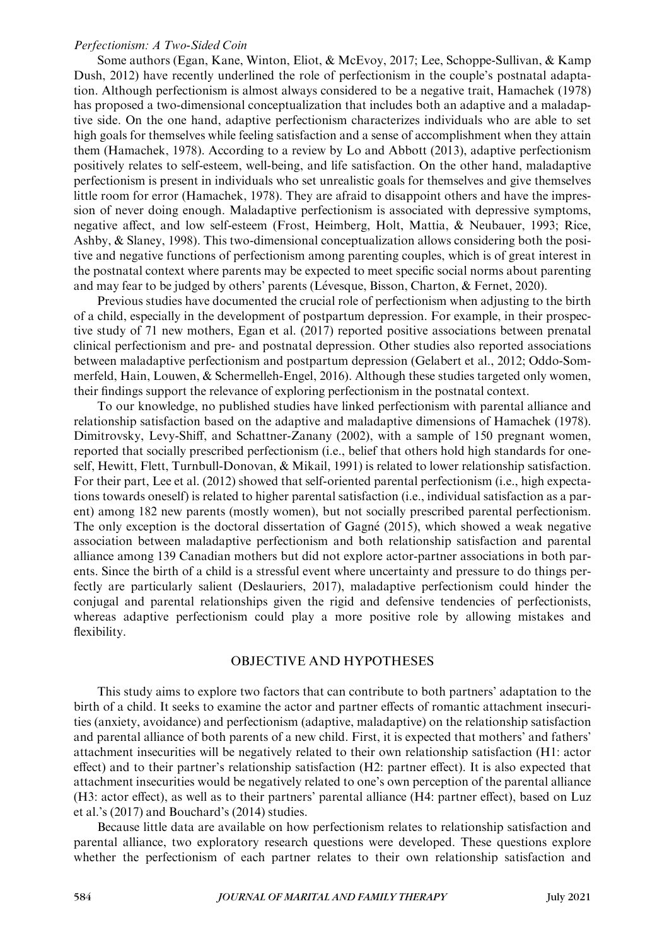# Perfectionism: A Two-Sided Coin

Some authors (Egan, Kane, Winton, Eliot, & McEvoy, 2017; Lee, Schoppe-Sullivan, & Kamp Dush, 2012) have recently underlined the role of perfectionism in the couple's postnatal adaptation. Although perfectionism is almost always considered to be a negative trait, Hamachek (1978) has proposed a two-dimensional conceptualization that includes both an adaptive and a maladaptive side. On the one hand, adaptive perfectionism characterizes individuals who are able to set high goals for themselves while feeling satisfaction and a sense of accomplishment when they attain them (Hamachek, 1978). According to a review by Lo and Abbott (2013), adaptive perfectionism positively relates to self-esteem, well-being, and life satisfaction. On the other hand, maladaptive perfectionism is present in individuals who set unrealistic goals for themselves and give themselves little room for error (Hamachek, 1978). They are afraid to disappoint others and have the impression of never doing enough. Maladaptive perfectionism is associated with depressive symptoms, negative affect, and low self-esteem (Frost, Heimberg, Holt, Mattia, & Neubauer, 1993; Rice, Ashby, & Slaney, 1998). This two-dimensional conceptualization allows considering both the positive and negative functions of perfectionism among parenting couples, which is of great interest in the postnatal context where parents may be expected to meet specific social norms about parenting and may fear to be judged by others' parents (Lévesque, Bisson, Charton, & Fernet, 2020).

Previous studies have documented the crucial role of perfectionism when adjusting to the birth of a child, especially in the development of postpartum depression. For example, in their prospective study of 71 new mothers, Egan et al. (2017) reported positive associations between prenatal clinical perfectionism and pre- and postnatal depression. Other studies also reported associations between maladaptive perfectionism and postpartum depression (Gelabert et al., 2012; Oddo-Sommerfeld, Hain, Louwen, & Schermelleh-Engel, 2016). Although these studies targeted only women, their findings support the relevance of exploring perfectionism in the postnatal context.

To our knowledge, no published studies have linked perfectionism with parental alliance and relationship satisfaction based on the adaptive and maladaptive dimensions of Hamachek (1978). Dimitrovsky, Levy-Shiff, and Schattner-Zanany (2002), with a sample of 150 pregnant women, reported that socially prescribed perfectionism (i.e., belief that others hold high standards for oneself, Hewitt, Flett, Turnbull-Donovan, & Mikail, 1991) is related to lower relationship satisfaction. For their part, Lee et al. (2012) showed that self-oriented parental perfectionism (i.e., high expectations towards oneself) is related to higher parental satisfaction (i.e., individual satisfaction as a parent) among 182 new parents (mostly women), but not socially prescribed parental perfectionism. The only exception is the doctoral dissertation of Gagné (2015), which showed a weak negative association between maladaptive perfectionism and both relationship satisfaction and parental alliance among 139 Canadian mothers but did not explore actor-partner associations in both parents. Since the birth of a child is a stressful event where uncertainty and pressure to do things perfectly are particularly salient (Deslauriers, 2017), maladaptive perfectionism could hinder the conjugal and parental relationships given the rigid and defensive tendencies of perfectionists, whereas adaptive perfectionism could play a more positive role by allowing mistakes and flexibility.

# OBJECTIVE AND HYPOTHESES

This study aims to explore two factors that can contribute to both partners' adaptation to the birth of a child. It seeks to examine the actor and partner effects of romantic attachment insecurities (anxiety, avoidance) and perfectionism (adaptive, maladaptive) on the relationship satisfaction and parental alliance of both parents of a new child. First, it is expected that mothers' and fathers' attachment insecurities will be negatively related to their own relationship satisfaction (H1: actor effect) and to their partner's relationship satisfaction (H2: partner effect). It is also expected that attachment insecurities would be negatively related to one's own perception of the parental alliance (H3: actor effect), as well as to their partners' parental alliance (H4: partner effect), based on Luz et al.'s (2017) and Bouchard's (2014) studies.

Because little data are available on how perfectionism relates to relationship satisfaction and parental alliance, two exploratory research questions were developed. These questions explore whether the perfectionism of each partner relates to their own relationship satisfaction and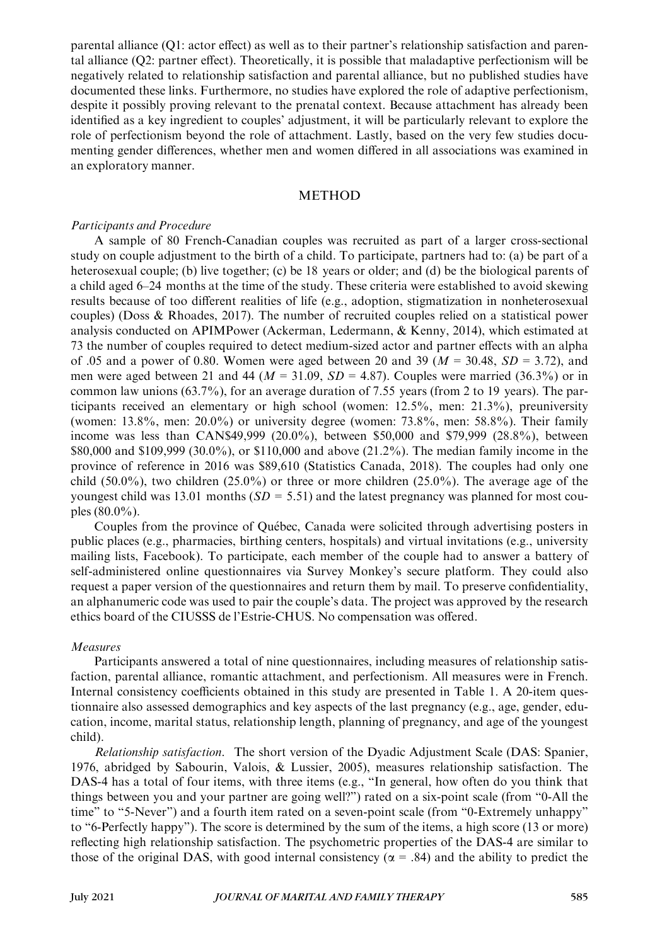parental alliance (Q1: actor effect) as well as to their partner's relationship satisfaction and parental alliance (Q2: partner effect). Theoretically, it is possible that maladaptive perfectionism will be negatively related to relationship satisfaction and parental alliance, but no published studies have documented these links. Furthermore, no studies have explored the role of adaptive perfectionism, despite it possibly proving relevant to the prenatal context. Because attachment has already been identified as a key ingredient to couples' adjustment, it will be particularly relevant to explore the role of perfectionism beyond the role of attachment. Lastly, based on the very few studies documenting gender differences, whether men and women differed in all associations was examined in an exploratory manner.

# METHOD

### Participants and Procedure

A sample of 80 French-Canadian couples was recruited as part of a larger cross-sectional study on couple adjustment to the birth of a child. To participate, partners had to: (a) be part of a heterosexual couple; (b) live together; (c) be 18 years or older; and (d) be the biological parents of a child aged 6–24 months at the time of the study. These criteria were established to avoid skewing results because of too different realities of life (e.g., adoption, stigmatization in nonheterosexual couples) (Doss & Rhoades, 2017). The number of recruited couples relied on a statistical power analysis conducted on APIMPower (Ackerman, Ledermann,  $\&$  Kenny, 2014), which estimated at 73 the number of couples required to detect medium-sized actor and partner effects with an alpha of .05 and a power of 0.80. Women were aged between 20 and 39 ( $M = 30.48$ ,  $SD = 3.72$ ), and men were aged between 21 and 44 ( $M = 31.09$ ,  $SD = 4.87$ ). Couples were married (36.3%) or in common law unions (63.7%), for an average duration of 7.55 years (from 2 to 19 years). The participants received an elementary or high school (women: 12.5%, men: 21.3%), preuniversity (women: 13.8%, men: 20.0%) or university degree (women: 73.8%, men: 58.8%). Their family income was less than CAN\$49,999 (20.0%), between \$50,000 and \$79,999 (28.8%), between \$80,000 and \$109,999 (30.0%), or \$110,000 and above (21.2%). The median family income in the province of reference in 2016 was \$89,610 (Statistics Canada, 2018). The couples had only one child  $(50.0\%)$ , two children  $(25.0\%)$  or three or more children  $(25.0\%)$ . The average age of the youngest child was 13.01 months  $(SD = 5.51)$  and the latest pregnancy was planned for most couples (80.0%).

Couples from the province of Quebec, Canada were solicited through advertising posters in public places (e.g., pharmacies, birthing centers, hospitals) and virtual invitations (e.g., university mailing lists, Facebook). To participate, each member of the couple had to answer a battery of self-administered online questionnaires via Survey Monkey's secure platform. They could also request a paper version of the questionnaires and return them by mail. To preserve confidentiality, an alphanumeric code was used to pair the couple's data. The project was approved by the research ethics board of the CIUSSS de l'Estrie-CHUS. No compensation was offered.

### Measures

Participants answered a total of nine questionnaires, including measures of relationship satisfaction, parental alliance, romantic attachment, and perfectionism. All measures were in French. Internal consistency coefficients obtained in this study are presented in Table 1. A 20-item questionnaire also assessed demographics and key aspects of the last pregnancy (e.g., age, gender, education, income, marital status, relationship length, planning of pregnancy, and age of the youngest child).

Relationship satisfaction. The short version of the Dyadic Adjustment Scale (DAS: Spanier, 1976, abridged by Sabourin, Valois, & Lussier, 2005), measures relationship satisfaction. The DAS-4 has a total of four items, with three items (e.g., "In general, how often do you think that things between you and your partner are going well?") rated on a six-point scale (from "0-All the time" to "5-Never") and a fourth item rated on a seven-point scale (from "0-Extremely unhappy" to "6-Perfectly happy"). The score is determined by the sum of the items, a high score (13 or more) reflecting high relationship satisfaction. The psychometric properties of the DAS-4 are similar to those of the original DAS, with good internal consistency ( $\alpha$  = .84) and the ability to predict the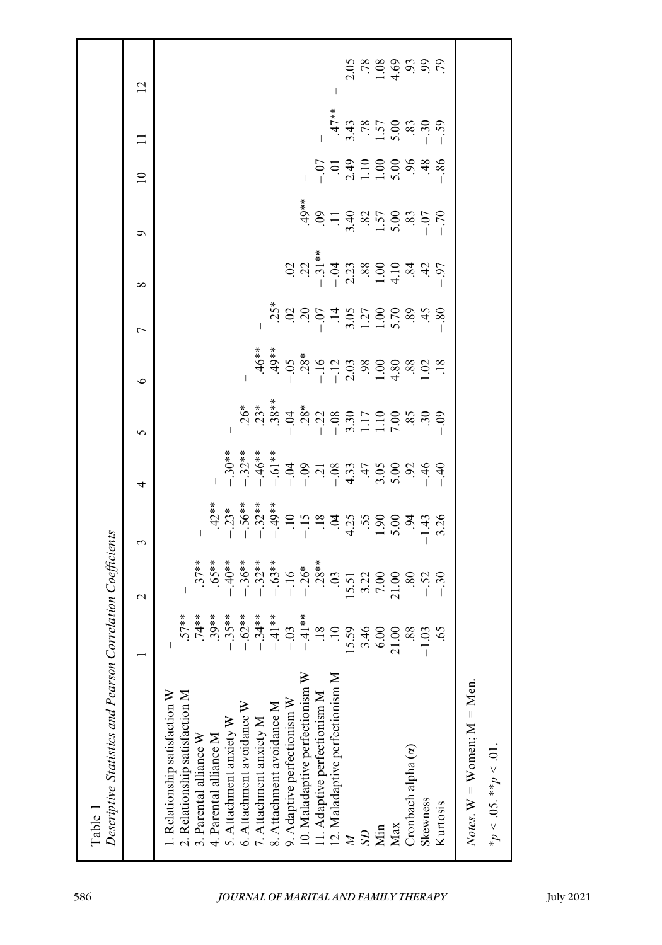| Descriptive Statistics and Pearson Corre.<br>Table |                                  | lation Coefficients                                                                                                                                                                                                            |   |   |                                                                                                                                                                                                                                                                                                                                                                                                                                                               |                                                                                                                                                                                                                                                                                                                                                                                                                                    |                                                                                                                                              |                                                                                                                       |                                                                                                                                                                                                                                                                                              |             |                                                                                                 |                                    |
|----------------------------------------------------|----------------------------------|--------------------------------------------------------------------------------------------------------------------------------------------------------------------------------------------------------------------------------|---|---|---------------------------------------------------------------------------------------------------------------------------------------------------------------------------------------------------------------------------------------------------------------------------------------------------------------------------------------------------------------------------------------------------------------------------------------------------------------|------------------------------------------------------------------------------------------------------------------------------------------------------------------------------------------------------------------------------------------------------------------------------------------------------------------------------------------------------------------------------------------------------------------------------------|----------------------------------------------------------------------------------------------------------------------------------------------|-----------------------------------------------------------------------------------------------------------------------|----------------------------------------------------------------------------------------------------------------------------------------------------------------------------------------------------------------------------------------------------------------------------------------------|-------------|-------------------------------------------------------------------------------------------------|------------------------------------|
|                                                    |                                  | $\mathcal{L}$                                                                                                                                                                                                                  | 3 | 4 | 5                                                                                                                                                                                                                                                                                                                                                                                                                                                             | $\circ$                                                                                                                                                                                                                                                                                                                                                                                                                            | $\overline{ }$                                                                                                                               | $\infty$                                                                                                              | ٩                                                                                                                                                                                                                                                                                            | $\supseteq$ |                                                                                                 | $\overline{c}$                     |
| . Relationship satisfaction W                      |                                  |                                                                                                                                                                                                                                |   |   |                                                                                                                                                                                                                                                                                                                                                                                                                                                               |                                                                                                                                                                                                                                                                                                                                                                                                                                    |                                                                                                                                              |                                                                                                                       |                                                                                                                                                                                                                                                                                              |             |                                                                                                 |                                    |
| 2. Relationship satisfaction M                     | $*$                              |                                                                                                                                                                                                                                |   |   |                                                                                                                                                                                                                                                                                                                                                                                                                                                               |                                                                                                                                                                                                                                                                                                                                                                                                                                    |                                                                                                                                              |                                                                                                                       |                                                                                                                                                                                                                                                                                              |             |                                                                                                 |                                    |
| 3. Parental alliance W                             | $*$<br>$\ddot{z}$                |                                                                                                                                                                                                                                |   |   |                                                                                                                                                                                                                                                                                                                                                                                                                                                               |                                                                                                                                                                                                                                                                                                                                                                                                                                    |                                                                                                                                              |                                                                                                                       |                                                                                                                                                                                                                                                                                              |             |                                                                                                 |                                    |
| 4. Parental alliance M                             | $.39**$                          |                                                                                                                                                                                                                                |   |   |                                                                                                                                                                                                                                                                                                                                                                                                                                                               |                                                                                                                                                                                                                                                                                                                                                                                                                                    |                                                                                                                                              |                                                                                                                       |                                                                                                                                                                                                                                                                                              |             |                                                                                                 |                                    |
| 5. Attachment anxiety W                            |                                  |                                                                                                                                                                                                                                |   |   |                                                                                                                                                                                                                                                                                                                                                                                                                                                               |                                                                                                                                                                                                                                                                                                                                                                                                                                    |                                                                                                                                              |                                                                                                                       |                                                                                                                                                                                                                                                                                              |             |                                                                                                 |                                    |
| 6. Attachment avoidance W                          | $-35***$<br>$-62***$<br>$-34***$ |                                                                                                                                                                                                                                |   |   |                                                                                                                                                                                                                                                                                                                                                                                                                                                               |                                                                                                                                                                                                                                                                                                                                                                                                                                    |                                                                                                                                              |                                                                                                                       |                                                                                                                                                                                                                                                                                              |             |                                                                                                 |                                    |
| 7. Attachment anxiety M                            |                                  |                                                                                                                                                                                                                                |   |   |                                                                                                                                                                                                                                                                                                                                                                                                                                                               |                                                                                                                                                                                                                                                                                                                                                                                                                                    |                                                                                                                                              |                                                                                                                       |                                                                                                                                                                                                                                                                                              |             |                                                                                                 |                                    |
| 8. Attachment avoidance M                          | $\stackrel{*}{*}$<br>$-4$        | $.7744$ $.6544$ $.6544$ $.6544$ $.6544$ $.6544$ $.6544$ $.6544$ $.6544$ $.6544$ $.6544$ $.6544$ $.6544$ $.6544$ $.6544$ $.6544$ $.6544$ $.6544$ $.6544$ $.6544$ $.6544$ $.6544$ $.6544$ $.6544$ $.6544$ $.6544$ $.6544$ $.654$ |   |   | $\begin{array}{cccc}\n56 & * & * & * & * \\ 56 & * & * & * & * \\ 57 & * & * & * & * \\ 58 & * & * & * & * \\ 59 & * & * & * & * \\ 50 & * & * & * & * \\ 50 & * & * & * & * \\ 50 & * & * & * & * \\ 50 & * & * & * & * \\ 50 & * & * & * & * \\ 50 & * & * & * & * \\ 50 & * & * & * & * \\ 50 & * & * & * & * \\ 50 & * & * & * & * \\ 50 & * & * & * & * \\ 50 & * & * & * & * \\ 50 & * & * & * & * & * \\ 50 & * & * & * & * & * \\ 50 & * & * & * & *$ | $4\overset{*}{\phantom{}}3\overset{*}{\phantom{}}4\overset{*}{\phantom{}}3\overset{*}{\phantom{}}5.$<br>$-1\overset{5}{\phantom{}}3\overset{5}{\phantom{}}3.$<br>$-1\overset{5}{\phantom{}}1\overset{5}{\phantom{}}1\overset{2}{\phantom{}}3.$<br>$-1\overset{5}{\phantom{}}3\overset{5}{\phantom{}}3.$<br>$-1\overset{5}{\phantom{}}3\overset{1}{\phantom{}}3.$<br>$-1\overset{5}{\phantom{}}3\overset{1}{\phantom{}}3.$<br>$-1\$ | $3.8$<br>$3.8$<br>$3.9$<br>$5.4$<br>$5.8$<br>$5.8$<br>$5.8$<br>$5.8$<br>$5.8$<br>$5.8$<br>$5.8$<br>$5.8$<br>$5.8$<br>$5.8$<br>$5.8$<br>$5.8$ |                                                                                                                       |                                                                                                                                                                                                                                                                                              |             |                                                                                                 |                                    |
| 9. Adaptive perfectionism W                        | $-0.03$                          |                                                                                                                                                                                                                                |   |   |                                                                                                                                                                                                                                                                                                                                                                                                                                                               |                                                                                                                                                                                                                                                                                                                                                                                                                                    |                                                                                                                                              |                                                                                                                       |                                                                                                                                                                                                                                                                                              |             |                                                                                                 |                                    |
| 10. Maladaptive perfectionism W                    | न्                               |                                                                                                                                                                                                                                |   |   |                                                                                                                                                                                                                                                                                                                                                                                                                                                               |                                                                                                                                                                                                                                                                                                                                                                                                                                    |                                                                                                                                              |                                                                                                                       |                                                                                                                                                                                                                                                                                              |             |                                                                                                 |                                    |
| 11. Adaptive perfectionism M                       |                                  |                                                                                                                                                                                                                                |   |   |                                                                                                                                                                                                                                                                                                                                                                                                                                                               |                                                                                                                                                                                                                                                                                                                                                                                                                                    |                                                                                                                                              |                                                                                                                       |                                                                                                                                                                                                                                                                                              |             |                                                                                                 |                                    |
| 12. Maladaptive perfectionism M                    |                                  |                                                                                                                                                                                                                                |   |   |                                                                                                                                                                                                                                                                                                                                                                                                                                                               |                                                                                                                                                                                                                                                                                                                                                                                                                                    |                                                                                                                                              |                                                                                                                       |                                                                                                                                                                                                                                                                                              |             |                                                                                                 |                                    |
|                                                    | 15.59                            |                                                                                                                                                                                                                                |   |   |                                                                                                                                                                                                                                                                                                                                                                                                                                                               |                                                                                                                                                                                                                                                                                                                                                                                                                                    |                                                                                                                                              |                                                                                                                       |                                                                                                                                                                                                                                                                                              |             |                                                                                                 |                                    |
| $^{5D}$                                            | 3.46                             |                                                                                                                                                                                                                                |   |   |                                                                                                                                                                                                                                                                                                                                                                                                                                                               |                                                                                                                                                                                                                                                                                                                                                                                                                                    |                                                                                                                                              |                                                                                                                       |                                                                                                                                                                                                                                                                                              |             |                                                                                                 |                                    |
| Мin                                                | 6.00                             |                                                                                                                                                                                                                                |   |   |                                                                                                                                                                                                                                                                                                                                                                                                                                                               |                                                                                                                                                                                                                                                                                                                                                                                                                                    |                                                                                                                                              |                                                                                                                       |                                                                                                                                                                                                                                                                                              |             |                                                                                                 |                                    |
| Max                                                | 21.00                            |                                                                                                                                                                                                                                |   |   |                                                                                                                                                                                                                                                                                                                                                                                                                                                               |                                                                                                                                                                                                                                                                                                                                                                                                                                    |                                                                                                                                              |                                                                                                                       |                                                                                                                                                                                                                                                                                              |             |                                                                                                 |                                    |
| Cronbach alpha (x)                                 | .88                              |                                                                                                                                                                                                                                |   |   |                                                                                                                                                                                                                                                                                                                                                                                                                                                               |                                                                                                                                                                                                                                                                                                                                                                                                                                    |                                                                                                                                              | $32.33$<br>$-3.33$<br>$-1.33$<br>$-1.33$<br>$-1.35$<br>$-1.35$<br>$-1.35$<br>$-1.35$<br>$-1.35$<br>$-1.35$<br>$-1.35$ |                                                                                                                                                                                                                                                                                              | 57399988888 | $-17$<br>$-15$<br>$-15$<br>$-15$<br>$-15$<br>$-15$<br>$-15$<br>$-15$<br>$-15$<br>$-15$<br>$-15$ | $2.88999$<br>$2.89999$<br>$1.4999$ |
| Skewness                                           | $-1.03$                          |                                                                                                                                                                                                                                |   |   |                                                                                                                                                                                                                                                                                                                                                                                                                                                               |                                                                                                                                                                                                                                                                                                                                                                                                                                    |                                                                                                                                              |                                                                                                                       |                                                                                                                                                                                                                                                                                              |             |                                                                                                 |                                    |
| Kurtosis                                           | Š,                               |                                                                                                                                                                                                                                |   |   |                                                                                                                                                                                                                                                                                                                                                                                                                                                               |                                                                                                                                                                                                                                                                                                                                                                                                                                    |                                                                                                                                              |                                                                                                                       | $-15$<br>$-15$<br>$-15$<br>$-15$<br>$-15$<br>$-15$<br>$-15$<br>$-15$<br>$-15$<br>$-15$<br>$-15$<br>$-15$<br>$-15$<br>$-15$<br>$-15$<br>$-15$<br>$-15$<br>$-15$<br>$-15$<br>$-15$<br>$-15$<br>$-15$<br>$-15$<br>$-15$<br>$-15$<br>$-15$<br>$-15$<br>$-15$<br>$-15$<br>$-15$<br>$-15$<br>$-15$ |             |                                                                                                 |                                    |
| $Notes. W = W$ omen; $M = M$ en.                   |                                  |                                                                                                                                                                                                                                |   |   |                                                                                                                                                                                                                                                                                                                                                                                                                                                               |                                                                                                                                                                                                                                                                                                                                                                                                                                    |                                                                                                                                              |                                                                                                                       |                                                                                                                                                                                                                                                                                              |             |                                                                                                 |                                    |
| $*_{p}$ < .05. $*_{p}$ < .01.                      |                                  |                                                                                                                                                                                                                                |   |   |                                                                                                                                                                                                                                                                                                                                                                                                                                                               |                                                                                                                                                                                                                                                                                                                                                                                                                                    |                                                                                                                                              |                                                                                                                       |                                                                                                                                                                                                                                                                                              |             |                                                                                                 |                                    |
|                                                    |                                  |                                                                                                                                                                                                                                |   |   |                                                                                                                                                                                                                                                                                                                                                                                                                                                               |                                                                                                                                                                                                                                                                                                                                                                                                                                    |                                                                                                                                              |                                                                                                                       |                                                                                                                                                                                                                                                                                              |             |                                                                                                 |                                    |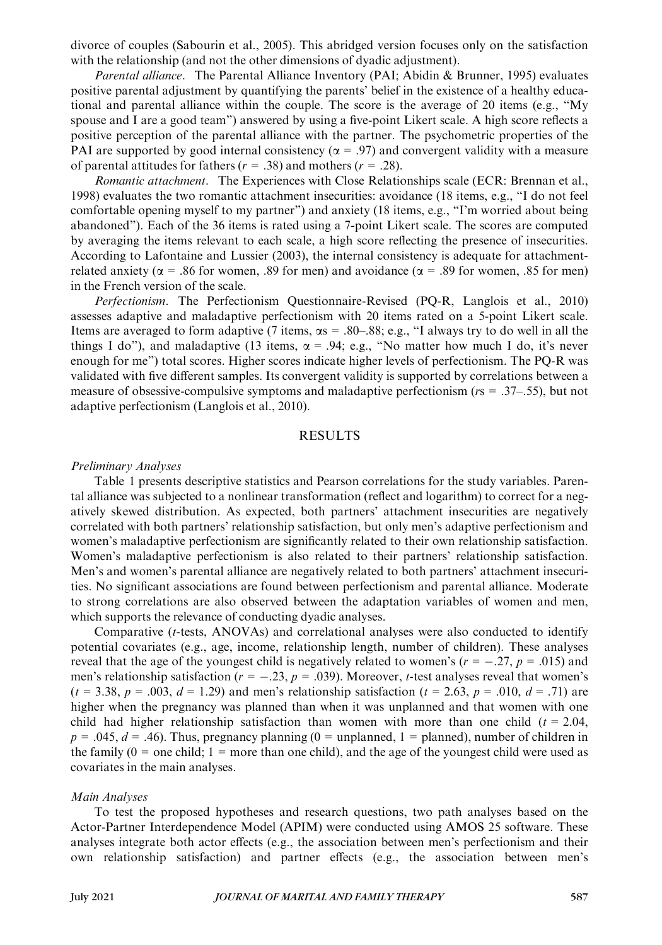divorce of couples (Sabourin et al., 2005). This abridged version focuses only on the satisfaction with the relationship (and not the other dimensions of dyadic adjustment).

Parental alliance. The Parental Alliance Inventory (PAI; Abidin & Brunner, 1995) evaluates positive parental adjustment by quantifying the parents' belief in the existence of a healthy educational and parental alliance within the couple. The score is the average of 20 items (e.g., " $Mv$ spouse and I are a good team") answered by using a five-point Likert scale. A high score reflects a positive perception of the parental alliance with the partner. The psychometric properties of the PAI are supported by good internal consistency ( $\alpha$  = .97) and convergent validity with a measure of parental attitudes for fathers ( $r = .38$ ) and mothers ( $r = .28$ ).

Romantic attachment. The Experiences with Close Relationships scale (ECR: Brennan et al., 1998) evaluates the two romantic attachment insecurities: avoidance (18 items, e.g., "I do not feel comfortable opening myself to my partner") and anxiety (18 items, e.g., "I'm worried about being abandoned"). Each of the 36 items is rated using a 7-point Likert scale. The scores are computed by averaging the items relevant to each scale, a high score reflecting the presence of insecurities. According to Lafontaine and Lussier (2003), the internal consistency is adequate for attachmentrelated anxiety ( $\alpha$  = .86 for women, .89 for men) and avoidance ( $\alpha$  = .89 for women, .85 for men) in the French version of the scale.

Perfectionism. The Perfectionism Questionnaire-Revised (PQ-R, Langlois et al., 2010) assesses adaptive and maladaptive perfectionism with 20 items rated on a 5-point Likert scale. Items are averaged to form adaptive (7 items,  $\alpha s = .80-.88$ ; e.g., "I always try to do well in all the things I do"), and maladaptive (13 items,  $\alpha$  = .94; e.g., "No matter how much I do, it's never enough for me") total scores. Higher scores indicate higher levels of perfectionism. The PQ-R was validated with five different samples. Its convergent validity is supported by correlations between a measure of obsessive-compulsive symptoms and maladaptive perfectionism ( $rs = .37–.55$ ), but not adaptive perfectionism (Langlois et al., 2010).

# RESULTS

### Preliminary Analyses

Table 1 presents descriptive statistics and Pearson correlations for the study variables. Parental alliance was subjected to a nonlinear transformation (reflect and logarithm) to correct for a negatively skewed distribution. As expected, both partners' attachment insecurities are negatively correlated with both partners' relationship satisfaction, but only men's adaptive perfectionism and women's maladaptive perfectionism are significantly related to their own relationship satisfaction. Women's maladaptive perfectionism is also related to their partners' relationship satisfaction. Men's and women's parental alliance are negatively related to both partners' attachment insecurities. No significant associations are found between perfectionism and parental alliance. Moderate to strong correlations are also observed between the adaptation variables of women and men, which supports the relevance of conducting dyadic analyses.

Comparative (t-tests, ANOVAs) and correlational analyses were also conducted to identify potential covariates (e.g., age, income, relationship length, number of children). These analyses reveal that the age of the youngest child is negatively related to women's  $(r = -.27, p = .015)$  and men's relationship satisfaction ( $r = -.23$ ,  $p = .039$ ). Moreover, *t*-test analyses reveal that women's  $(t = 3.38, p = .003, d = 1.29)$  and men's relationship satisfaction  $(t = 2.63, p = .010, d = .71)$  are higher when the pregnancy was planned than when it was unplanned and that women with one child had higher relationship satisfaction than women with more than one child  $(t = 2.04,$  $p = .045$ ,  $d = .46$ ). Thus, pregnancy planning (0 = unplanned, 1 = planned), number of children in the family  $(0 =$  one child;  $1 =$  more than one child), and the age of the youngest child were used as covariates in the main analyses.

### Main Analyses

To test the proposed hypotheses and research questions, two path analyses based on the Actor-Partner Interdependence Model (APIM) were conducted using AMOS 25 software. These analyses integrate both actor effects (e.g., the association between men's perfectionism and their own relationship satisfaction) and partner effects (e.g., the association between men's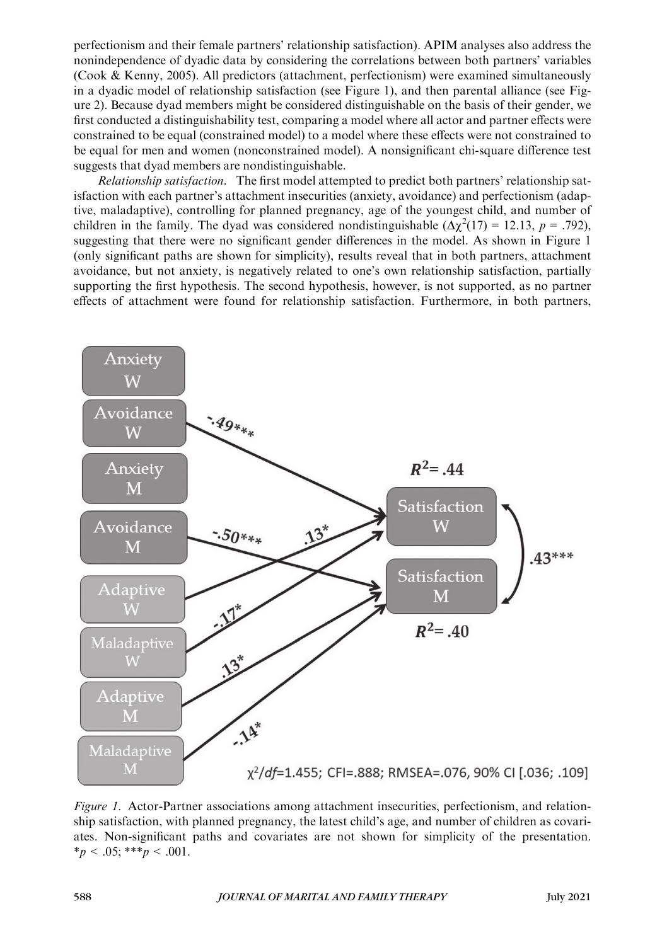perfectionism and their female partners' relationship satisfaction). APIM analyses also address the nonindependence of dyadic data by considering the correlations between both partners' variables (Cook & Kenny, 2005). All predictors (attachment, perfectionism) were examined simultaneously in a dyadic model of relationship satisfaction (see Figure 1), and then parental alliance (see Figure 2). Because dyad members might be considered distinguishable on the basis of their gender, we first conducted a distinguishability test, comparing a model where all actor and partner effects were constrained to be equal (constrained model) to a model where these effects were not constrained to be equal for men and women (nonconstrained model). A nonsignificant chi-square difference test suggests that dyad members are nondistinguishable.

Relationship satisfaction. The first model attempted to predict both partners' relationship satisfaction with each partner's attachment insecurities (anxiety, avoidance) and perfectionism (adaptive, maladaptive), controlling for planned pregnancy, age of the youngest child, and number of children in the family. The dyad was considered nondistinguishable  $(\Delta \chi^2(17) = 12.13, p = .792)$ , suggesting that there were no significant gender differences in the model. As shown in Figure 1 (only significant paths are shown for simplicity), results reveal that in both partners, attachment avoidance, but not anxiety, is negatively related to one's own relationship satisfaction, partially supporting the first hypothesis. The second hypothesis, however, is not supported, as no partner effects of attachment were found for relationship satisfaction. Furthermore, in both partners,



Figure 1. Actor-Partner associations among attachment insecurities, perfectionism, and relationship satisfaction, with planned pregnancy, the latest child's age, and number of children as covariates. Non-significant paths and covariates are not shown for simplicity of the presentation.  $*_p$  < .05; \*\*\* $p$  < .001.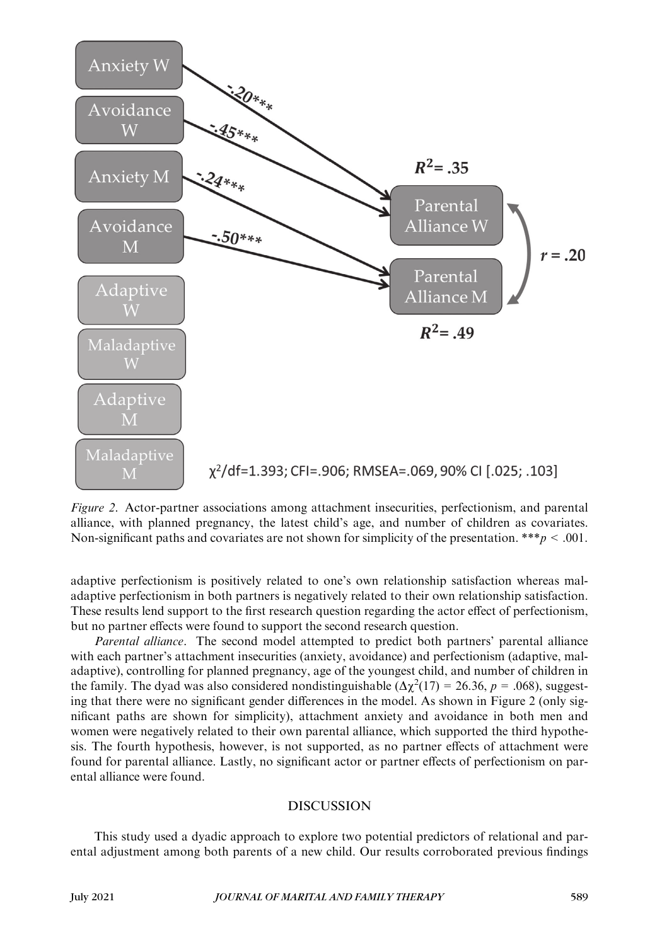

Figure 2. Actor-partner associations among attachment insecurities, perfectionism, and parental alliance, with planned pregnancy, the latest child's age, and number of children as covariates. Non-significant paths and covariates are not shown for simplicity of the presentation. \*\*\*  $p < .001$ .

adaptive perfectionism is positively related to one's own relationship satisfaction whereas maladaptive perfectionism in both partners is negatively related to their own relationship satisfaction. These results lend support to the first research question regarding the actor effect of perfectionism, but no partner effects were found to support the second research question.

Parental alliance. The second model attempted to predict both partners' parental alliance with each partner's attachment insecurities (anxiety, avoidance) and perfectionism (adaptive, maladaptive), controlling for planned pregnancy, age of the youngest child, and number of children in the family. The dyad was also considered nondistinguishable  $(\Delta \chi^2(17) = 26.36, p = .068)$ , suggesting that there were no significant gender differences in the model. As shown in Figure 2 (only significant paths are shown for simplicity), attachment anxiety and avoidance in both men and women were negatively related to their own parental alliance, which supported the third hypothesis. The fourth hypothesis, however, is not supported, as no partner effects of attachment were found for parental alliance. Lastly, no significant actor or partner effects of perfectionism on parental alliance were found.

### DISCUSSION

This study used a dyadic approach to explore two potential predictors of relational and parental adjustment among both parents of a new child. Our results corroborated previous findings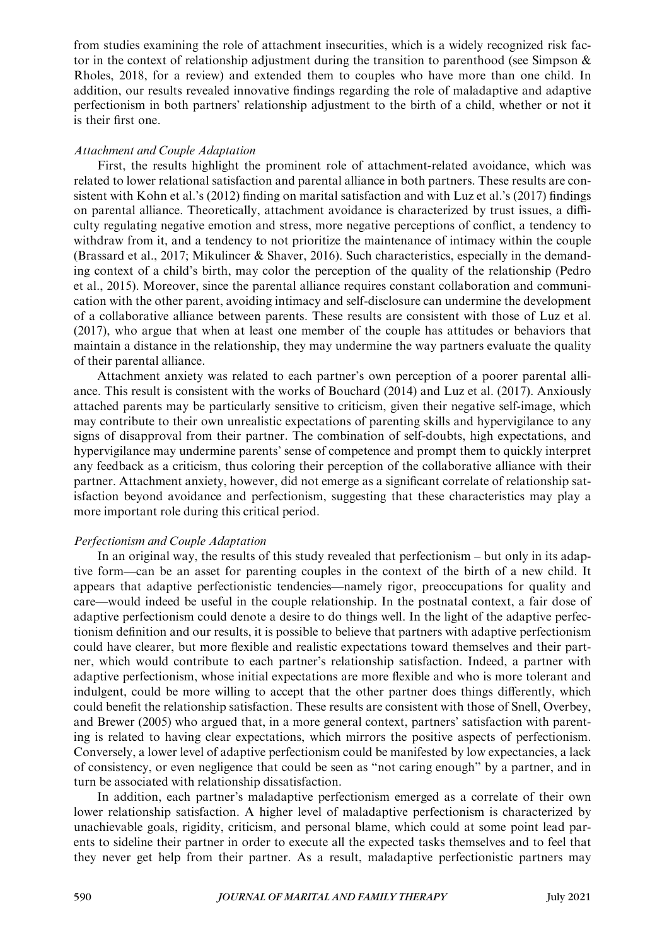from studies examining the role of attachment insecurities, which is a widely recognized risk factor in the context of relationship adjustment during the transition to parenthood (see Simpson  $\&$ Rholes, 2018, for a review) and extended them to couples who have more than one child. In addition, our results revealed innovative findings regarding the role of maladaptive and adaptive perfectionism in both partners' relationship adjustment to the birth of a child, whether or not it is their first one.

# Attachment and Couple Adaptation

First, the results highlight the prominent role of attachment-related avoidance, which was related to lower relational satisfaction and parental alliance in both partners. These results are consistent with Kohn et al.'s (2012) finding on marital satisfaction and with Luz et al.'s (2017) findings on parental alliance. Theoretically, attachment avoidance is characterized by trust issues, a difficulty regulating negative emotion and stress, more negative perceptions of conflict, a tendency to withdraw from it, and a tendency to not prioritize the maintenance of intimacy within the couple (Brassard et al., 2017; Mikulincer & Shaver, 2016). Such characteristics, especially in the demanding context of a child's birth, may color the perception of the quality of the relationship (Pedro et al., 2015). Moreover, since the parental alliance requires constant collaboration and communication with the other parent, avoiding intimacy and self-disclosure can undermine the development of a collaborative alliance between parents. These results are consistent with those of Luz et al. (2017), who argue that when at least one member of the couple has attitudes or behaviors that maintain a distance in the relationship, they may undermine the way partners evaluate the quality of their parental alliance.

Attachment anxiety was related to each partner's own perception of a poorer parental alliance. This result is consistent with the works of Bouchard (2014) and Luz et al. (2017). Anxiously attached parents may be particularly sensitive to criticism, given their negative self-image, which may contribute to their own unrealistic expectations of parenting skills and hypervigilance to any signs of disapproval from their partner. The combination of self-doubts, high expectations, and hypervigilance may undermine parents' sense of competence and prompt them to quickly interpret any feedback as a criticism, thus coloring their perception of the collaborative alliance with their partner. Attachment anxiety, however, did not emerge as a significant correlate of relationship satisfaction beyond avoidance and perfectionism, suggesting that these characteristics may play a more important role during this critical period.

### Perfectionism and Couple Adaptation

In an original way, the results of this study revealed that perfectionism – but only in its adaptive form—can be an asset for parenting couples in the context of the birth of a new child. It appears that adaptive perfectionistic tendencies—namely rigor, preoccupations for quality and care—would indeed be useful in the couple relationship. In the postnatal context, a fair dose of adaptive perfectionism could denote a desire to do things well. In the light of the adaptive perfectionism definition and our results, it is possible to believe that partners with adaptive perfectionism could have clearer, but more flexible and realistic expectations toward themselves and their partner, which would contribute to each partner's relationship satisfaction. Indeed, a partner with adaptive perfectionism, whose initial expectations are more flexible and who is more tolerant and indulgent, could be more willing to accept that the other partner does things differently, which could benefit the relationship satisfaction. These results are consistent with those of Snell, Overbey, and Brewer (2005) who argued that, in a more general context, partners' satisfaction with parenting is related to having clear expectations, which mirrors the positive aspects of perfectionism. Conversely, a lower level of adaptive perfectionism could be manifested by low expectancies, a lack of consistency, or even negligence that could be seen as "not caring enough" by a partner, and in turn be associated with relationship dissatisfaction.

In addition, each partner's maladaptive perfectionism emerged as a correlate of their own lower relationship satisfaction. A higher level of maladaptive perfectionism is characterized by unachievable goals, rigidity, criticism, and personal blame, which could at some point lead parents to sideline their partner in order to execute all the expected tasks themselves and to feel that they never get help from their partner. As a result, maladaptive perfectionistic partners may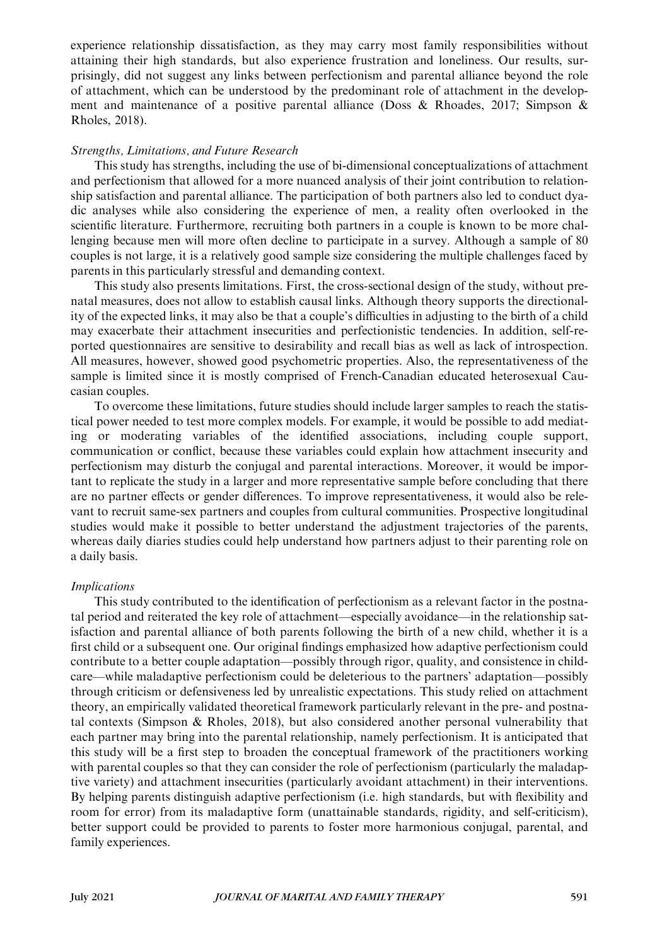experience relationship dissatisfaction, as they may carry most family responsibilities without attaining their high standards, but also experience frustration and loneliness. Our results, surprisingly, did not suggest any links between perfectionism and parental alliance beyond the role of attachment, which can be understood by the predominant role of attachment in the development and maintenance of a positive parental alliance (Doss & Rhoades, 2017; Simpson & Rholes, 2018).

# Strengths, Limitations, and Future Research

This study has strengths, including the use of bi-dimensional conceptualizations of attachment and perfectionism that allowed for a more nuanced analysis of their joint contribution to relationship satisfaction and parental alliance. The participation of both partners also led to conduct dyadic analyses while also considering the experience of men, a reality often overlooked in the scientific literature. Furthermore, recruiting both partners in a couple is known to be more challenging because men will more often decline to participate in a survey. Although a sample of 80 couples is not large, it is a relatively good sample size considering the multiple challenges faced by parents in this particularly stressful and demanding context.

This study also presents limitations. First, the cross-sectional design of the study, without prenatal measures, does not allow to establish causal links. Although theory supports the directionality of the expected links, it may also be that a couple's difficulties in adjusting to the birth of a child may exacerbate their attachment insecurities and perfectionistic tendencies. In addition, self-reported questionnaires are sensitive to desirability and recall bias as well as lack of introspection. All measures, however, showed good psychometric properties. Also, the representativeness of the sample is limited since it is mostly comprised of French-Canadian educated heterosexual Caucasian couples.

To overcome these limitations, future studies should include larger samples to reach the statistical power needed to test more complex models. For example, it would be possible to add mediating or moderating variables of the identified associations, including couple support, communication or conflict, because these variables could explain how attachment insecurity and perfectionism may disturb the conjugal and parental interactions. Moreover, it would be important to replicate the study in a larger and more representative sample before concluding that there are no partner effects or gender differences. To improve representativeness, it would also be relevant to recruit same-sex partners and couples from cultural communities. Prospective longitudinal studies would make it possible to better understand the adjustment trajectories of the parents, whereas daily diaries studies could help understand how partners adjust to their parenting role on a daily basis.

### Implications

This study contributed to the identification of perfectionism as a relevant factor in the postnatal period and reiterated the key role of attachment—especially avoidance—in the relationship satisfaction and parental alliance of both parents following the birth of a new child, whether it is a first child or a subsequent one. Our original findings emphasized how adaptive perfectionism could contribute to a better couple adaptation—possibly through rigor, quality, and consistence in childcare—while maladaptive perfectionism could be deleterious to the partners' adaptation—possibly through criticism or defensiveness led by unrealistic expectations. This study relied on attachment theory, an empirically validated theoretical framework particularly relevant in the pre- and postnatal contexts (Simpson & Rholes, 2018), but also considered another personal vulnerability that each partner may bring into the parental relationship, namely perfectionism. It is anticipated that this study will be a first step to broaden the conceptual framework of the practitioners working with parental couples so that they can consider the role of perfectionism (particularly the maladaptive variety) and attachment insecurities (particularly avoidant attachment) in their interventions. By helping parents distinguish adaptive perfectionism (i.e. high standards, but with flexibility and room for error) from its maladaptive form (unattainable standards, rigidity, and self-criticism), better support could be provided to parents to foster more harmonious conjugal, parental, and family experiences.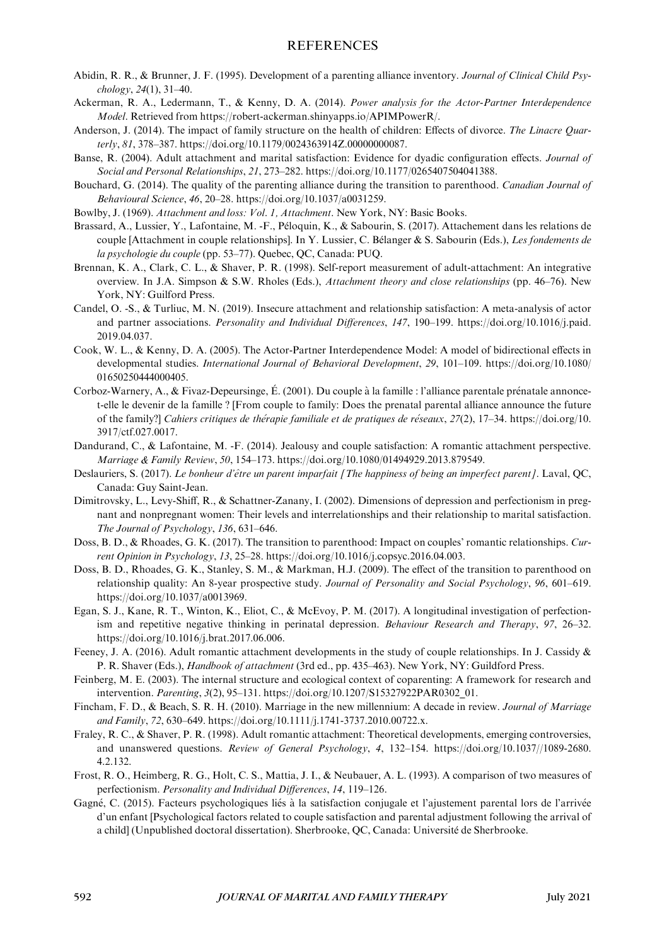- Abidin, R. R., & Brunner, J. F. (1995). Development of a parenting alliance inventory. Journal of Clinical Child Psychology, 24(1), 31–40.
- Ackerman, R. A., Ledermann, T., & Kenny, D. A. (2014). Power analysis for the Actor-Partner Interdependence Model. Retrieved from<https://robert-ackerman.shinyapps.io/APIMPowerR/>.
- Anderson, J. (2014). The impact of family structure on the health of children: Effects of divorce. The Linacre Quarterly, 81, 378–387.<https://doi.org/10.1179/0024363914Z.00000000087>.
- Banse, R. (2004). Adult attachment and marital satisfaction: Evidence for dyadic configuration effects. Journal of Social and Personal Relationships, 21, 273–282. [https://doi.org/10.1177/0265407504041388.](https://doi.org/10.1177/0265407504041388)
- Bouchard, G. (2014). The quality of the parenting alliance during the transition to parenthood. Canadian Journal of Behavioural Science, 46, 20–28. [https://doi.org/10.1037/a0031259.](https://doi.org/10.1037/a0031259)
- Bowlby, J. (1969). Attachment and loss: Vol. 1, Attachment. New York, NY: Basic Books.
- Brassard, A., Lussier, Y., Lafontaine, M. -F., Peloquin, K., & Sabourin, S. (2017). Attachement dans les relations de couple [Attachment in couple relationships]. In Y. Lussier, C. Belanger & S. Sabourin (Eds.), Les fondements de la psychologie du couple (pp. 53–77). Quebec, QC, Canada: PUQ.
- Brennan, K. A., Clark, C. L., & Shaver, P. R. (1998). Self-report measurement of adult-attachment: An integrative overview. In J.A. Simpson & S.W. Rholes (Eds.), Attachment theory and close relationships (pp. 46–76). New York, NY: Guilford Press.
- Candel, O. -S., & Turliuc, M. N. (2019). Insecure attachment and relationship satisfaction: A meta-analysis of actor and partner associations. Personality and Individual Differences, 147, 190-199. [https://doi.org/10.1016/j.paid.](https://doi.org/10.1016/j.paid.2019.04.037) [2019.04.037.](https://doi.org/10.1016/j.paid.2019.04.037)
- Cook, W. L., & Kenny, D. A. (2005). The Actor-Partner Interdependence Model: A model of bidirectional effects in developmental studies. International Journal of Behavioral Development, 29, 101-109. [https://doi.org/10.1080/](https://doi.org/10.1080/01650250444000405) [01650250444000405](https://doi.org/10.1080/01650250444000405).
- Corboz-Warnery, A., & Fivaz-Depeursinge, É. (2001). Du couple à la famille : l'alliance parentale prénatale annoncet-elle le devenir de la famille ? [From couple to family: Does the prenatal parental alliance announce the future of the family?] Cahiers critiques de thérapie familiale et de pratiques de réseaux, 27(2), 17–34. [https://doi.org/10.](https://doi.org/10.3917/ctf.027.0017) [3917/ctf.027.0017](https://doi.org/10.3917/ctf.027.0017).
- Dandurand, C., & Lafontaine, M. -F. (2014). Jealousy and couple satisfaction: A romantic attachment perspective. Marriage & Family Review, 50, 154–173.<https://doi.org/10.1080/01494929.2013.879549>.
- Deslauriers, S. (2017). Le bonheur d'être un parent imparfait [The happiness of being an imperfect parent]. Laval, QC, Canada: Guy Saint-Jean.
- Dimitrovsky, L., Levy-Shiff, R., & Schattner-Zanany, I. (2002). Dimensions of depression and perfectionism in pregnant and nonpregnant women: Their levels and interrelationships and their relationship to marital satisfaction. The Journal of Psychology, 136, 631–646.
- Doss, B. D., & Rhoades, G. K. (2017). The transition to parenthood: Impact on couples' romantic relationships. Current Opinion in Psychology, 13, 25–28.<https://doi.org/10.1016/j.copsyc.2016.04.003>.
- Doss, B. D., Rhoades, G. K., Stanley, S. M., & Markman, H.J. (2009). The effect of the transition to parenthood on relationship quality: An 8-year prospective study. Journal of Personality and Social Psychology, 96, 601–619. <https://doi.org/10.1037/a0013969>.
- Egan, S. J., Kane, R. T., Winton, K., Eliot, C., & McEvoy, P. M. (2017). A longitudinal investigation of perfectionism and repetitive negative thinking in perinatal depression. Behaviour Research and Therapy, 97, 26–32. [https://doi.org/10.1016/j.brat.2017.06.006.](https://doi.org/10.1016/j.brat.2017.06.006)
- Feeney, J. A. (2016). Adult romantic attachment developments in the study of couple relationships. In J. Cassidy & P. R. Shaver (Eds.), Handbook of attachment (3rd ed., pp. 435–463). New York, NY: Guildford Press.
- Feinberg, M. E. (2003). The internal structure and ecological context of coparenting: A framework for research and intervention. Parenting, 3(2), 95–131. [https://doi.org/10.1207/S15327922PAR0302\\_01.](https://doi.org/10.1207/S15327922PAR0302_01)
- Fincham, F. D., & Beach, S. R. H. (2010). Marriage in the new millennium: A decade in review. Journal of Marriage and Family, 72, 630–649. [https://doi.org/10.1111/j.1741-3737.2010.00722.x.](https://doi.org/10.1111/j.1741-3737.2010.00722.x)
- Fraley, R. C., & Shaver, P. R. (1998). Adult romantic attachment: Theoretical developments, emerging controversies, and unanswered questions. Review of General Psychology, 4, 132–154. [https://doi.org/10.1037//1089-2680.](https://doi.org/10.1037//1089-2680.4.2.132) [4.2.132](https://doi.org/10.1037//1089-2680.4.2.132).
- Frost, R. O., Heimberg, R. G., Holt, C. S., Mattia, J. I., & Neubauer, A. L. (1993). A comparison of two measures of perfectionism. Personality and Individual Differences, 14, 119–126.
- Gagné, C. (2015). Facteurs psychologiques liés à la satisfaction conjugale et l'ajustement parental lors de l'arrivée d'un enfant [Psychological factors related to couple satisfaction and parental adjustment following the arrival of a child] (Unpublished doctoral dissertation). Sherbrooke, QC, Canada: Universite de Sherbrooke.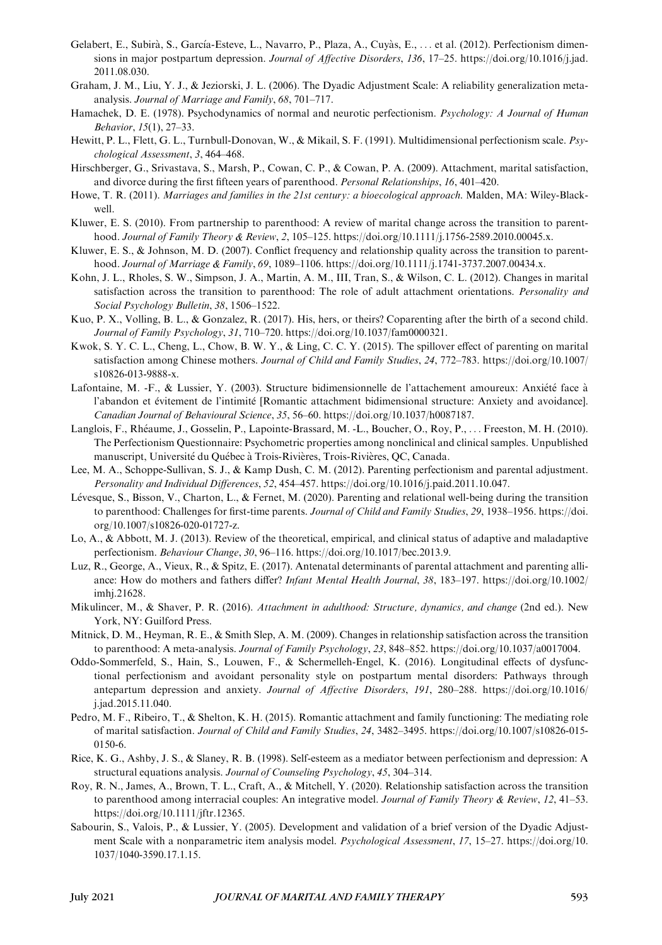- Gelabert, E., Subirà, S., García-Esteve, L., Navarro, P., Plaza, A., Cuyàs, E., ... et al. (2012). Perfectionism dimensions in major postpartum depression. Journal of Affective Disorders, 136, 17-25. [https://doi.org/10.1016/j.jad.](https://doi.org/10.1016/j.jad.2011.08.030) [2011.08.030.](https://doi.org/10.1016/j.jad.2011.08.030)
- Graham, J. M., Liu, Y. J., & Jeziorski, J. L. (2006). The Dyadic Adjustment Scale: A reliability generalization metaanalysis. Journal of Marriage and Family, 68, 701–717.
- Hamachek, D. E. (1978). Psychodynamics of normal and neurotic perfectionism. Psychology: A Journal of Human Behavior, 15(1), 27–33.
- Hewitt, P. L., Flett, G. L., Turnbull-Donovan, W., & Mikail, S. F. (1991). Multidimensional perfectionism scale. Psychological Assessment, 3, 464–468.
- Hirschberger, G., Srivastava, S., Marsh, P., Cowan, C. P., & Cowan, P. A. (2009). Attachment, marital satisfaction, and divorce during the first fifteen years of parenthood. Personal Relationships, 16, 401–420.
- Howe, T. R. (2011). Marriages and families in the 21st century: a bioecological approach. Malden, MA: Wiley-Blackwell.
- Kluwer, E. S. (2010). From partnership to parenthood: A review of marital change across the transition to parenthood. Journal of Family Theory & Review, 2, 105-125.<https://doi.org/10.1111/j.1756-2589.2010.00045.x>.
- Kluwer, E. S., & Johnson, M. D. (2007). Conflict frequency and relationship quality across the transition to parenthood. Journal of Marriage & Family, 69, 1089-1106. [https://doi.org/10.1111/j.1741-3737.2007.00434.x.](https://doi.org/10.1111/j.1741-3737.2007.00434.x)
- Kohn, J. L., Rholes, S. W., Simpson, J. A., Martin, A. M., III, Tran, S., & Wilson, C. L. (2012). Changes in marital satisfaction across the transition to parenthood: The role of adult attachment orientations. Personality and Social Psychology Bulletin, 38, 1506–1522.
- Kuo, P. X., Volling, B. L., & Gonzalez, R. (2017). His, hers, or theirs? Coparenting after the birth of a second child. Journal of Family Psychology, 31, 710–720. [https://doi.org/10.1037/fam0000321.](https://doi.org/10.1037/fam0000321)
- Kwok, S. Y. C. L., Cheng, L., Chow, B. W. Y., & Ling, C. C. Y. (2015). The spillover effect of parenting on marital satisfaction among Chinese mothers. Journal of Child and Family Studies, 24, 772–783. [https://doi.org/10.1007/](https://doi.org/10.1007/s10826-013-9888-x) [s10826-013-9888-x](https://doi.org/10.1007/s10826-013-9888-x).
- Lafontaine, M. -F., & Lussier, Y. (2003). Structure bidimensionnelle de l'attachement amoureux: Anxiété face à l'abandon et evitement de l'intimite [Romantic attachment bidimensional structure: Anxiety and avoidance]. Canadian Journal of Behavioural Science, 35, 56–60. [https://doi.org/10.1037/h0087187.](https://doi.org/10.1037/h0087187)
- Langlois, F., Rhéaume, J., Gosselin, P., Lapointe-Brassard, M. -L., Boucher, O., Roy, P., ... Freeston, M. H. (2010). The Perfectionism Questionnaire: Psychometric properties among nonclinical and clinical samples. Unpublished manuscript, Universite du Quebec a Trois-Rivieres, Trois-Rivieres, QC, Canada.
- Lee, M. A., Schoppe-Sullivan, S. J., & Kamp Dush, C. M. (2012). Parenting perfectionism and parental adjustment. Personality and Individual Differences, 52, 454–457.<https://doi.org/10.1016/j.paid.2011.10.047>.
- Lévesque, S., Bisson, V., Charton, L., & Fernet, M. (2020). Parenting and relational well-being during the transition to parenthood: Challenges for first-time parents. Journal of Child and Family Studies, 29, 1938–1956. [https://doi.](https://doi.org/10.1007/s10826-020-01727-z) [org/10.1007/s10826-020-01727-z](https://doi.org/10.1007/s10826-020-01727-z).
- Lo, A., & Abbott, M. J. (2013). Review of the theoretical, empirical, and clinical status of adaptive and maladaptive perfectionism. Behaviour Change, 30, 96-116.<https://doi.org/10.1017/bec.2013.9>.
- Luz, R., George, A., Vieux, R., & Spitz, E. (2017). Antenatal determinants of parental attachment and parenting alliance: How do mothers and fathers differ? Infant Mental Health Journal, 38, 183–197. [https://doi.org/10.1002/](https://doi.org/10.1002/imhj.21628) [imhj.21628.](https://doi.org/10.1002/imhj.21628)
- Mikulincer, M., & Shaver, P. R. (2016). Attachment in adulthood: Structure, dynamics, and change (2nd ed.). New York, NY: Guilford Press.
- Mitnick, D. M., Heyman, R. E., & Smith Slep, A. M. (2009). Changes in relationship satisfaction across the transition to parenthood: A meta-analysis. Journal of Family Psychology, 23, 848–852. [https://doi.org/10.1037/a0017004.](https://doi.org/10.1037/a0017004)
- Oddo-Sommerfeld, S., Hain, S., Louwen, F., & Schermelleh-Engel, K. (2016). Longitudinal effects of dysfunctional perfectionism and avoidant personality style on postpartum mental disorders: Pathways through antepartum depression and anxiety. Journal of Affective Disorders, 191, 280–288. [https://doi.org/10.1016/](https://doi.org/10.1016/j.jad.2015.11.040) [j.jad.2015.11.040.](https://doi.org/10.1016/j.jad.2015.11.040)
- Pedro, M. F., Ribeiro, T., & Shelton, K. H. (2015). Romantic attachment and family functioning: The mediating role of marital satisfaction. Journal of Child and Family Studies, 24, 3482–3495. [https://doi.org/10.1007/s10826-015-](https://doi.org/10.1007/s10826-015-0150-6) [0150-6](https://doi.org/10.1007/s10826-015-0150-6).
- Rice, K. G., Ashby, J. S., & Slaney, R. B. (1998). Self-esteem as a mediator between perfectionism and depression: A structural equations analysis. Journal of Counseling Psychology, 45, 304–314.
- Roy, R. N., James, A., Brown, T. L., Craft, A., & Mitchell, Y. (2020). Relationship satisfaction across the transition to parenthood among interracial couples: An integrative model. Journal of Family Theory & Review, 12, 41–53. <https://doi.org/10.1111/jftr.12365>.
- Sabourin, S., Valois, P., & Lussier, Y. (2005). Development and validation of a brief version of the Dyadic Adjustment Scale with a nonparametric item analysis model. Psychological Assessment, 17, 15–27. [https://doi.org/10.](https://doi.org/10.1037/1040-3590.17.1.15) [1037/1040-3590.17.1.15.](https://doi.org/10.1037/1040-3590.17.1.15)